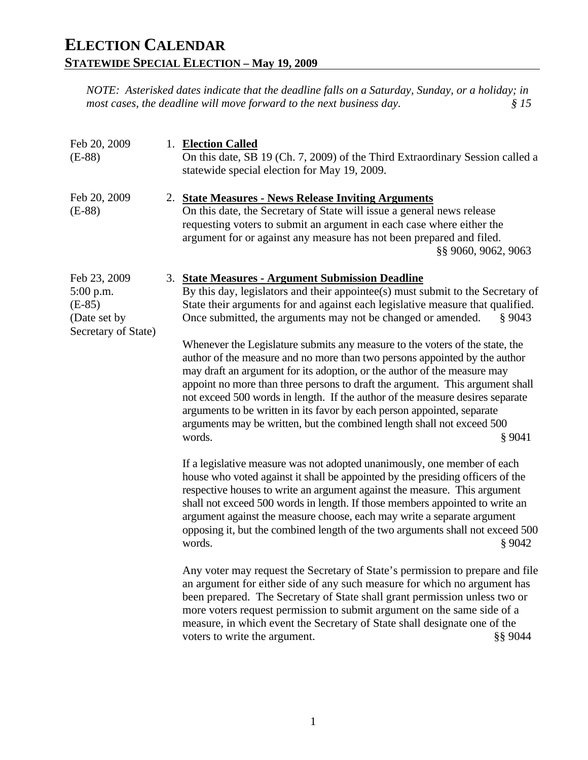| Feb 20, 2009<br>$(E-88)$                                                       | 1. Election Called<br>On this date, SB 19 (Ch. 7, 2009) of the Third Extraordinary Session called a<br>statewide special election for May 19, 2009.                                                                                                                                                                                                                                                                                                                                                                                                                                                                                                                                                                                                                                                                                                                                                                                                                                                                                                                                                                                                                                                                                                                                                                                                                                                                                                                                                                                                                                                                                                                                                                                                                                                                                              |
|--------------------------------------------------------------------------------|--------------------------------------------------------------------------------------------------------------------------------------------------------------------------------------------------------------------------------------------------------------------------------------------------------------------------------------------------------------------------------------------------------------------------------------------------------------------------------------------------------------------------------------------------------------------------------------------------------------------------------------------------------------------------------------------------------------------------------------------------------------------------------------------------------------------------------------------------------------------------------------------------------------------------------------------------------------------------------------------------------------------------------------------------------------------------------------------------------------------------------------------------------------------------------------------------------------------------------------------------------------------------------------------------------------------------------------------------------------------------------------------------------------------------------------------------------------------------------------------------------------------------------------------------------------------------------------------------------------------------------------------------------------------------------------------------------------------------------------------------------------------------------------------------------------------------------------------------|
| Feb 20, 2009<br>$(E-88)$                                                       | 2. State Measures - News Release Inviting Arguments<br>On this date, the Secretary of State will issue a general news release<br>requesting voters to submit an argument in each case where either the<br>argument for or against any measure has not been prepared and filed.<br>§§ 9060, 9062, 9063                                                                                                                                                                                                                                                                                                                                                                                                                                                                                                                                                                                                                                                                                                                                                                                                                                                                                                                                                                                                                                                                                                                                                                                                                                                                                                                                                                                                                                                                                                                                            |
| Feb 23, 2009<br>$5:00$ p.m.<br>$(E-85)$<br>(Date set by<br>Secretary of State) | 3. State Measures - Argument Submission Deadline<br>By this day, legislators and their appointee(s) must submit to the Secretary of<br>State their arguments for and against each legislative measure that qualified.<br>Once submitted, the arguments may not be changed or amended.<br>§ 9043<br>Whenever the Legislature submits any measure to the voters of the state, the<br>author of the measure and no more than two persons appointed by the author<br>may draft an argument for its adoption, or the author of the measure may<br>appoint no more than three persons to draft the argument. This argument shall<br>not exceed 500 words in length. If the author of the measure desires separate<br>arguments to be written in its favor by each person appointed, separate<br>arguments may be written, but the combined length shall not exceed 500<br>words.<br>§ 9041<br>If a legislative measure was not adopted unanimously, one member of each<br>house who voted against it shall be appointed by the presiding officers of the<br>respective houses to write an argument against the measure. This argument<br>shall not exceed 500 words in length. If those members appointed to write an<br>argument against the measure choose, each may write a separate argument<br>opposing it, but the combined length of the two arguments shall not exceed 500<br>words.<br>\$9042<br>Any voter may request the Secretary of State's permission to prepare and file<br>an argument for either side of any such measure for which no argument has<br>been prepared. The Secretary of State shall grant permission unless two or<br>more voters request permission to submit argument on the same side of a<br>measure, in which event the Secretary of State shall designate one of the<br>voters to write the argument.<br>§§ 9044 |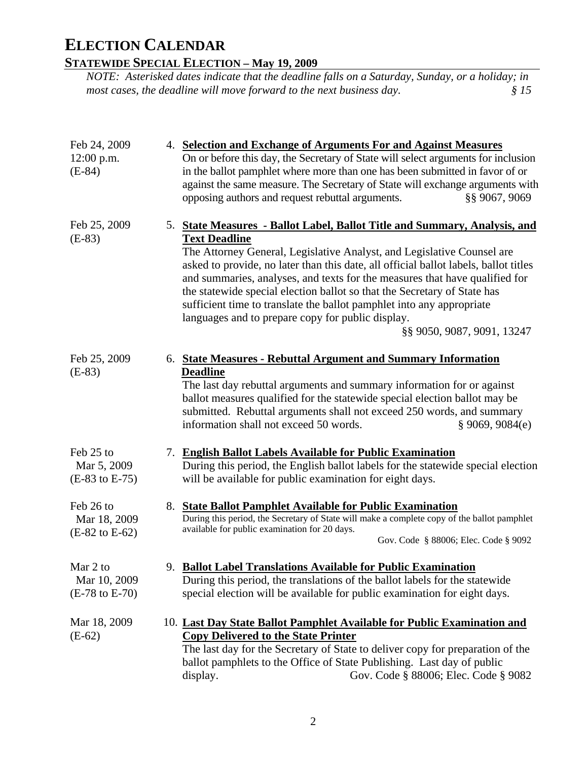### **STATEWIDE SPECIAL ELECTION – May 19, 2009**

| Feb 24, 2009                                           |    | 4. Selection and Exchange of Arguments For and Against Measures                                                                                                                                                                                                                                                                                                                                                                                                                                                                                                                            |
|--------------------------------------------------------|----|--------------------------------------------------------------------------------------------------------------------------------------------------------------------------------------------------------------------------------------------------------------------------------------------------------------------------------------------------------------------------------------------------------------------------------------------------------------------------------------------------------------------------------------------------------------------------------------------|
| $12:00$ p.m.<br>$(E-84)$                               |    | On or before this day, the Secretary of State will select arguments for inclusion<br>in the ballot pamphlet where more than one has been submitted in favor of or<br>against the same measure. The Secretary of State will exchange arguments with<br>opposing authors and request rebuttal arguments.<br>§§ 9067, 9069                                                                                                                                                                                                                                                                    |
| Feb 25, 2009<br>$(E-83)$                               |    | 5. State Measures - Ballot Label, Ballot Title and Summary, Analysis, and<br><b>Text Deadline</b><br>The Attorney General, Legislative Analyst, and Legislative Counsel are<br>asked to provide, no later than this date, all official ballot labels, ballot titles<br>and summaries, analyses, and texts for the measures that have qualified for<br>the statewide special election ballot so that the Secretary of State has<br>sufficient time to translate the ballot pamphlet into any appropriate<br>languages and to prepare copy for public display.<br>§§ 9050, 9087, 9091, 13247 |
| Feb 25, 2009<br>$(E-83)$                               |    | 6. State Measures - Rebuttal Argument and Summary Information<br><b>Deadline</b><br>The last day rebuttal arguments and summary information for or against<br>ballot measures qualified for the statewide special election ballot may be<br>submitted. Rebuttal arguments shall not exceed 250 words, and summary<br>information shall not exceed 50 words.<br>§ 9069, 9084(e)                                                                                                                                                                                                             |
| Feb 25 to<br>Mar 5, 2009<br>$(E-83 \text{ to } E-75)$  | 7. | <b>English Ballot Labels Available for Public Examination</b><br>During this period, the English ballot labels for the statewide special election<br>will be available for public examination for eight days.                                                                                                                                                                                                                                                                                                                                                                              |
| Feb 26 to<br>Mar 18, 2009<br>$(E-82 \text{ to } E-62)$ |    | 8. State Ballot Pamphlet Available for Public Examination<br>During this period, the Secretary of State will make a complete copy of the ballot pamphlet<br>available for public examination for 20 days.<br>Gov. Code § 88006; Elec. Code § 9092                                                                                                                                                                                                                                                                                                                                          |
| Mar 2 to<br>Mar 10, 2009<br>$(E-78 \text{ to } E-70)$  |    | 9. Ballot Label Translations Available for Public Examination<br>During this period, the translations of the ballot labels for the statewide<br>special election will be available for public examination for eight days.                                                                                                                                                                                                                                                                                                                                                                  |
| Mar 18, 2009<br>$(E-62)$                               |    | 10. Last Day State Ballot Pamphlet Available for Public Examination and<br><b>Copy Delivered to the State Printer</b><br>The last day for the Secretary of State to deliver copy for preparation of the<br>ballot pamphlets to the Office of State Publishing. Last day of public<br>Gov. Code § 88006; Elec. Code § 9082<br>display.                                                                                                                                                                                                                                                      |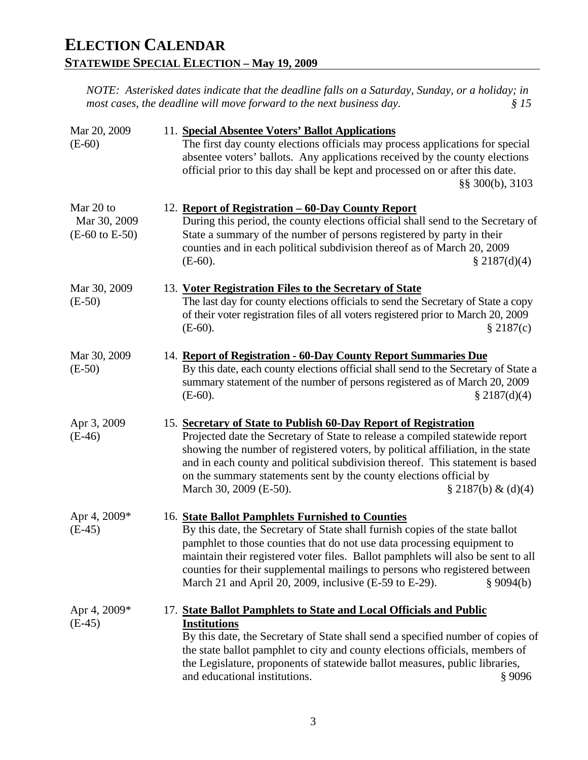| Mar 20, 2009                                           | 11. Special Absentee Voters' Ballot Applications                                                                                                                                                                                                                                                                                                                                                                                                      |
|--------------------------------------------------------|-------------------------------------------------------------------------------------------------------------------------------------------------------------------------------------------------------------------------------------------------------------------------------------------------------------------------------------------------------------------------------------------------------------------------------------------------------|
| $(E-60)$                                               | The first day county elections officials may process applications for special<br>absentee voters' ballots. Any applications received by the county elections<br>official prior to this day shall be kept and processed on or after this date.<br>§§ 300(b), 3103                                                                                                                                                                                      |
| Mar 20 to<br>Mar 30, 2009<br>$(E-60 \text{ to } E-50)$ | 12. Report of Registration – 60-Day County Report<br>During this period, the county elections official shall send to the Secretary of<br>State a summary of the number of persons registered by party in their<br>counties and in each political subdivision thereof as of March 20, 2009<br>$(E-60)$ .<br>\$2187(d)(4)                                                                                                                               |
| Mar 30, 2009<br>$(E-50)$                               | 13. Voter Registration Files to the Secretary of State<br>The last day for county elections officials to send the Secretary of State a copy<br>of their voter registration files of all voters registered prior to March 20, 2009<br>\$2187(c)<br>$(E-60)$ .                                                                                                                                                                                          |
| Mar 30, 2009<br>$(E-50)$                               | 14. Report of Registration - 60-Day County Report Summaries Due<br>By this date, each county elections official shall send to the Secretary of State a<br>summary statement of the number of persons registered as of March 20, 2009<br>$(E-60)$ .<br>\$2187(d)(4)                                                                                                                                                                                    |
| Apr 3, 2009<br>$(E-46)$                                | 15. Secretary of State to Publish 60-Day Report of Registration<br>Projected date the Secretary of State to release a compiled statewide report<br>showing the number of registered voters, by political affiliation, in the state<br>and in each county and political subdivision thereof. This statement is based<br>on the summary statements sent by the county elections official by<br>March 30, 2009 (E-50).<br>$\S 2187(b) \& (d)(4)$         |
| Apr 4, 2009*<br>$(E-45)$                               | 16. State Ballot Pamphlets Furnished to Counties<br>By this date, the Secretary of State shall furnish copies of the state ballot<br>pamphlet to those counties that do not use data processing equipment to<br>maintain their registered voter files. Ballot pamphlets will also be sent to all<br>counties for their supplemental mailings to persons who registered between<br>March 21 and April 20, 2009, inclusive (E-59 to E-29).<br>\$9094(b) |
| Apr 4, 2009*<br>$(E-45)$                               | 17. State Ballot Pamphlets to State and Local Officials and Public<br><b>Institutions</b><br>By this date, the Secretary of State shall send a specified number of copies of<br>the state ballot pamphlet to city and county elections officials, members of<br>the Legislature, proponents of statewide ballot measures, public libraries,<br>and educational institutions.<br>§ 9096                                                                |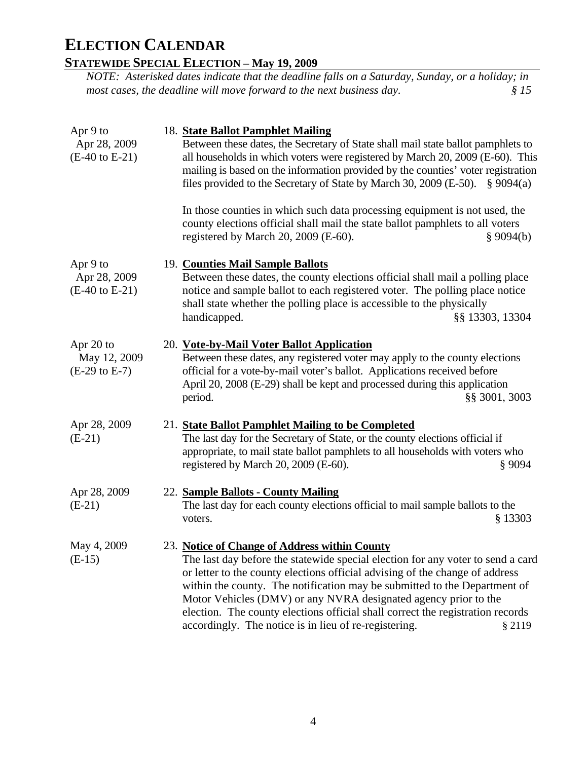### **STATEWIDE SPECIAL ELECTION – May 19, 2009**

| Apr 9 to<br>Apr 28, 2009<br>$(E-40 \text{ to } E-21)$ | 18. State Ballot Pamphlet Mailing<br>Between these dates, the Secretary of State shall mail state ballot pamphlets to<br>all households in which voters were registered by March 20, 2009 (E-60). This<br>mailing is based on the information provided by the counties' voter registration<br>files provided to the Secretary of State by March 30, 2009 (E-50). $\S 9094(a)$<br>In those counties in which such data processing equipment is not used, the                                                 |                 |
|-------------------------------------------------------|-------------------------------------------------------------------------------------------------------------------------------------------------------------------------------------------------------------------------------------------------------------------------------------------------------------------------------------------------------------------------------------------------------------------------------------------------------------------------------------------------------------|-----------------|
|                                                       | county elections official shall mail the state ballot pamphlets to all voters<br>registered by March 20, 2009 (E-60).                                                                                                                                                                                                                                                                                                                                                                                       | \$9094(b)       |
| Apr 9 to<br>Apr 28, 2009<br>$(E-40 \text{ to } E-21)$ | 19. Counties Mail Sample Ballots<br>Between these dates, the county elections official shall mail a polling place<br>notice and sample ballot to each registered voter. The polling place notice<br>shall state whether the polling place is accessible to the physically<br>handicapped.                                                                                                                                                                                                                   | §§ 13303, 13304 |
| Apr 20 to<br>May 12, 2009<br>$(E-29 \text{ to } E-7)$ | 20. Vote-by-Mail Voter Ballot Application<br>Between these dates, any registered voter may apply to the county elections<br>official for a vote-by-mail voter's ballot. Applications received before<br>April 20, 2008 (E-29) shall be kept and processed during this application<br>period.                                                                                                                                                                                                                | §§ 3001, 3003   |
| Apr 28, 2009<br>$(E-21)$                              | 21. State Ballot Pamphlet Mailing to be Completed<br>The last day for the Secretary of State, or the county elections official if<br>appropriate, to mail state ballot pamphlets to all households with voters who<br>registered by March 20, 2009 (E-60).                                                                                                                                                                                                                                                  | § 9094          |
| Apr 28, 2009<br>$(E-21)$                              | 22. Sample Ballots - County Mailing<br>The last day for each county elections official to mail sample ballots to the<br>voters.                                                                                                                                                                                                                                                                                                                                                                             | § 13303         |
| May 4, 2009<br>$(E-15)$                               | 23. Notice of Change of Address within County<br>The last day before the statewide special election for any voter to send a card<br>or letter to the county elections official advising of the change of address<br>within the county. The notification may be submitted to the Department of<br>Motor Vehicles (DMV) or any NVRA designated agency prior to the<br>election. The county elections official shall correct the registration records<br>accordingly. The notice is in lieu of re-registering. | § 2119          |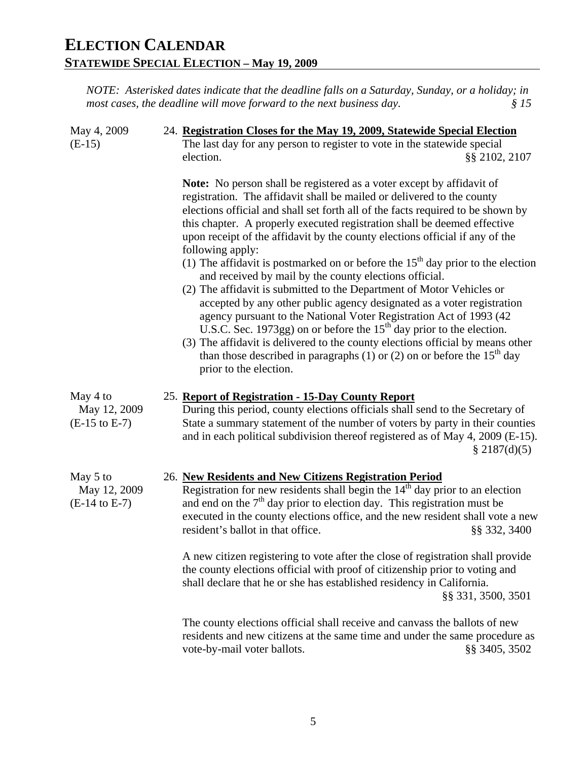| May 4, 2009<br>$(E-15)$                              | 24. Registration Closes for the May 19, 2009, Statewide Special Election<br>The last day for any person to register to vote in the statewide special<br>election.<br>§§ 2102, 2107                                                                                                                                                                                                                                                                                                                                                                                                                                                                                                                                                                                                                                                                                                                                                                                                                                                                                             |
|------------------------------------------------------|--------------------------------------------------------------------------------------------------------------------------------------------------------------------------------------------------------------------------------------------------------------------------------------------------------------------------------------------------------------------------------------------------------------------------------------------------------------------------------------------------------------------------------------------------------------------------------------------------------------------------------------------------------------------------------------------------------------------------------------------------------------------------------------------------------------------------------------------------------------------------------------------------------------------------------------------------------------------------------------------------------------------------------------------------------------------------------|
|                                                      | <b>Note:</b> No person shall be registered as a voter except by affidavit of<br>registration. The affidavit shall be mailed or delivered to the county<br>elections official and shall set forth all of the facts required to be shown by<br>this chapter. A properly executed registration shall be deemed effective<br>upon receipt of the affidavit by the county elections official if any of the<br>following apply:<br>(1) The affidavit is postmarked on or before the $15th$ day prior to the election<br>and received by mail by the county elections official.<br>(2) The affidavit is submitted to the Department of Motor Vehicles or<br>accepted by any other public agency designated as a voter registration<br>agency pursuant to the National Voter Registration Act of 1993 (42<br>U.S.C. Sec. 1973gg) on or before the 15 <sup>th</sup> day prior to the election.<br>(3) The affidavit is delivered to the county elections official by means other<br>than those described in paragraphs (1) or (2) on or before the $15th$ day<br>prior to the election. |
| May 4 to<br>May 12, 2009<br>$(E-15 \text{ to } E-7)$ | 25. Report of Registration - 15-Day County Report<br>During this period, county elections officials shall send to the Secretary of<br>State a summary statement of the number of voters by party in their counties<br>and in each political subdivision thereof registered as of May 4, 2009 (E-15).<br>\$2187(d)(5)                                                                                                                                                                                                                                                                                                                                                                                                                                                                                                                                                                                                                                                                                                                                                           |
| May 5 to<br>May 12, 2009<br>$(E-14 \text{ to } E-7)$ | 26. New Residents and New Citizens Registration Period<br>Registration for new residents shall begin the $14th$ day prior to an election<br>and end on the $7th$ day prior to election day. This registration must be<br>executed in the county elections office, and the new resident shall vote a new<br>resident's ballot in that office.<br>§§ 332, 3400<br>A new citizen registering to vote after the close of registration shall provide<br>the county elections official with proof of citizenship prior to voting and                                                                                                                                                                                                                                                                                                                                                                                                                                                                                                                                                 |
|                                                      | shall declare that he or she has established residency in California.<br>§§ 331, 3500, 3501                                                                                                                                                                                                                                                                                                                                                                                                                                                                                                                                                                                                                                                                                                                                                                                                                                                                                                                                                                                    |
|                                                      | The county elections official shall receive and canvass the ballots of new<br>residents and new citizens at the same time and under the same procedure as<br>vote-by-mail voter ballots.<br>§§ 3405, 3502                                                                                                                                                                                                                                                                                                                                                                                                                                                                                                                                                                                                                                                                                                                                                                                                                                                                      |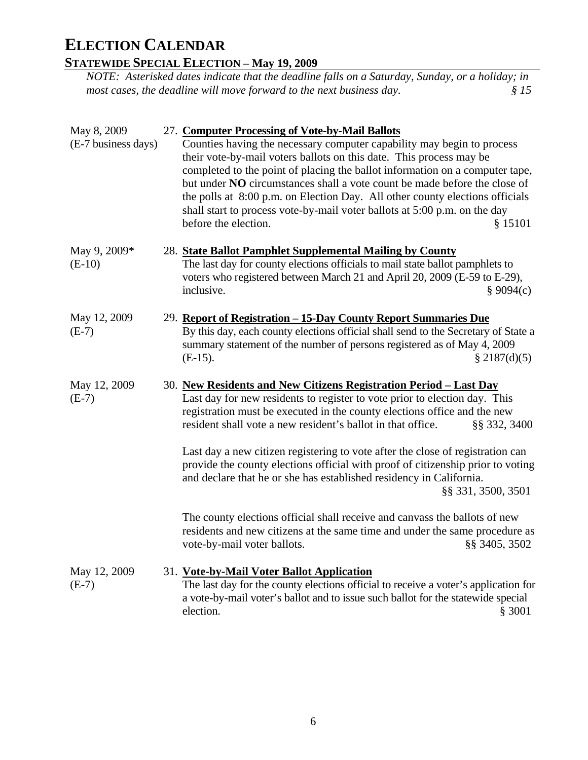### **STATEWIDE SPECIAL ELECTION – May 19, 2009**

| May 8, 2009<br>(E-7 business days) | 27. Computer Processing of Vote-by-Mail Ballots<br>Counties having the necessary computer capability may begin to process<br>their vote-by-mail voters ballots on this date. This process may be<br>completed to the point of placing the ballot information on a computer tape,<br>but under NO circumstances shall a vote count be made before the close of<br>the polls at 8:00 p.m. on Election Day. All other county elections officials<br>shall start to process vote-by-mail voter ballots at 5:00 p.m. on the day<br>before the election.<br>\$15101                |
|------------------------------------|------------------------------------------------------------------------------------------------------------------------------------------------------------------------------------------------------------------------------------------------------------------------------------------------------------------------------------------------------------------------------------------------------------------------------------------------------------------------------------------------------------------------------------------------------------------------------|
| May 9, 2009*<br>$(E-10)$           | 28. State Ballot Pamphlet Supplemental Mailing by County<br>The last day for county elections officials to mail state ballot pamphlets to<br>voters who registered between March 21 and April 20, 2009 (E-59 to E-29),<br>inclusive.<br>\$9094(c)                                                                                                                                                                                                                                                                                                                            |
| May 12, 2009<br>$(E-7)$            | 29. Report of Registration - 15-Day County Report Summaries Due<br>By this day, each county elections official shall send to the Secretary of State a<br>summary statement of the number of persons registered as of May 4, 2009<br>$(E-15)$ .<br>$\S 2187(d)(5)$                                                                                                                                                                                                                                                                                                            |
| May 12, 2009<br>$(E-7)$            | 30. New Residents and New Citizens Registration Period - Last Day<br>Last day for new residents to register to vote prior to election day. This<br>registration must be executed in the county elections office and the new<br>resident shall vote a new resident's ballot in that office.<br>§§ 332, 3400<br>Last day a new citizen registering to vote after the close of registration can<br>provide the county elections official with proof of citizenship prior to voting<br>and declare that he or she has established residency in California.<br>§§ 331, 3500, 3501 |
|                                    | The county elections official shall receive and canvass the ballots of new<br>residents and new citizens at the same time and under the same procedure as<br>vote-by-mail voter ballots.<br>§§ 3405, 3502                                                                                                                                                                                                                                                                                                                                                                    |
| May 12, 2009<br>$(E-7)$            | 31. Vote-by-Mail Voter Ballot Application<br>The last day for the county elections official to receive a voter's application for<br>a vote-by-mail voter's ballot and to issue such ballot for the statewide special<br>§ 3001<br>election.                                                                                                                                                                                                                                                                                                                                  |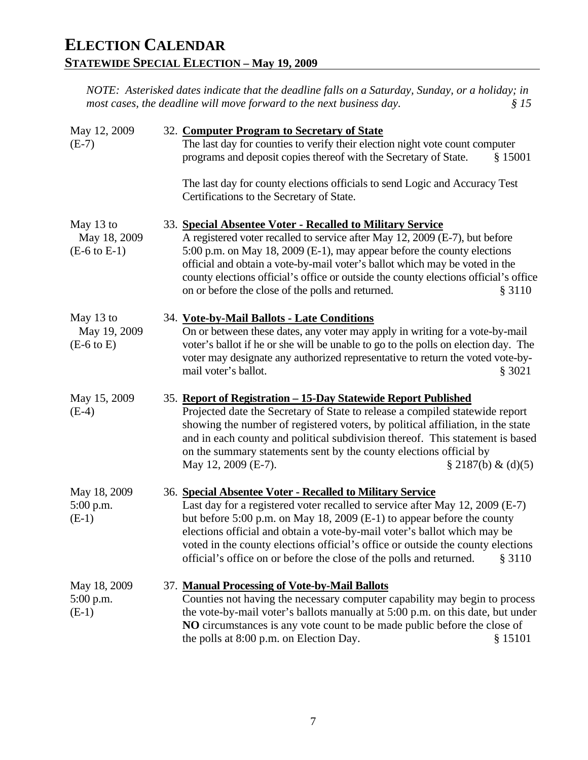| May 12, 2009<br>$(E-7)$                              | 32. Computer Program to Secretary of State<br>The last day for counties to verify their election night vote count computer<br>programs and deposit copies thereof with the Secretary of State.<br>\$15001                                                                                                                                                                                                                                                           |  |
|------------------------------------------------------|---------------------------------------------------------------------------------------------------------------------------------------------------------------------------------------------------------------------------------------------------------------------------------------------------------------------------------------------------------------------------------------------------------------------------------------------------------------------|--|
|                                                      | The last day for county elections officials to send Logic and Accuracy Test<br>Certifications to the Secretary of State.                                                                                                                                                                                                                                                                                                                                            |  |
| May 13 to<br>May 18, 2009<br>$(E-6 \text{ to } E-1)$ | 33. Special Absentee Voter - Recalled to Military Service<br>A registered voter recalled to service after May 12, 2009 (E-7), but before<br>5:00 p.m. on May 18, 2009 (E-1), may appear before the county elections<br>official and obtain a vote-by-mail voter's ballot which may be voted in the<br>county elections official's office or outside the county elections official's office<br>on or before the close of the polls and returned.<br>§ 3110           |  |
| May 13 to<br>May 19, 2009<br>$(E-6 \text{ to } E)$   | 34. Vote-by-Mail Ballots - Late Conditions<br>On or between these dates, any voter may apply in writing for a vote-by-mail<br>voter's ballot if he or she will be unable to go to the polls on election day. The<br>voter may designate any authorized representative to return the voted vote-by-<br>mail voter's ballot.<br>\$3021                                                                                                                                |  |
| May 15, 2009<br>$(E-4)$                              | 35. Report of Registration - 15-Day Statewide Report Published<br>Projected date the Secretary of State to release a compiled statewide report<br>showing the number of registered voters, by political affiliation, in the state<br>and in each county and political subdivision thereof. This statement is based<br>on the summary statements sent by the county elections official by<br>May 12, 2009 (E-7).<br>$\S 2187(b) \& (d)(5)$                           |  |
| May 18, 2009<br>$5:00$ p.m.<br>$(E-1)$               | 36. Special Absentee Voter - Recalled to Military Service<br>Last day for a registered voter recalled to service after May 12, 2009 (E-7)<br>but before 5:00 p.m. on May 18, 2009 (E-1) to appear before the county<br>elections official and obtain a vote-by-mail voter's ballot which may be<br>voted in the county elections official's office or outside the county elections<br>official's office on or before the close of the polls and returned.<br>\$3110 |  |
| May 18, 2009<br>5:00 p.m.<br>$(E-1)$                 | 37. Manual Processing of Vote-by-Mail Ballots<br>Counties not having the necessary computer capability may begin to process<br>the vote-by-mail voter's ballots manually at 5:00 p.m. on this date, but under<br>NO circumstances is any vote count to be made public before the close of<br>the polls at 8:00 p.m. on Election Day.<br>§ 15101                                                                                                                     |  |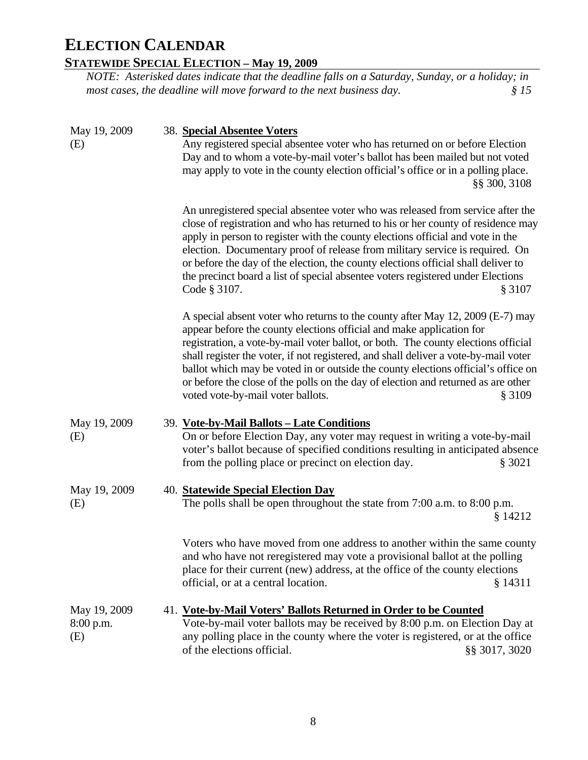### **STATEWIDE SPECIAL ELECTION – May 19, 2009**

| May 19, 2009<br>(E)              | 38. Special Absentee Voters<br>Any registered special absentee voter who has returned on or before Election<br>Day and to whom a vote-by-mail voter's ballot has been mailed but not voted<br>may apply to vote in the county election official's office or in a polling place.<br>§§ 300, 3108                                                                                                                                                                                                                                                            |
|----------------------------------|------------------------------------------------------------------------------------------------------------------------------------------------------------------------------------------------------------------------------------------------------------------------------------------------------------------------------------------------------------------------------------------------------------------------------------------------------------------------------------------------------------------------------------------------------------|
|                                  | An unregistered special absentee voter who was released from service after the<br>close of registration and who has returned to his or her county of residence may<br>apply in person to register with the county elections official and vote in the<br>election. Documentary proof of release from military service is required. On<br>or before the day of the election, the county elections official shall deliver to<br>the precinct board a list of special absentee voters registered under Elections<br>Code § 3107.<br>§ 3107                     |
|                                  | A special absent voter who returns to the county after May 12, 2009 (E-7) may<br>appear before the county elections official and make application for<br>registration, a vote-by-mail voter ballot, or both. The county elections official<br>shall register the voter, if not registered, and shall deliver a vote-by-mail voter<br>ballot which may be voted in or outside the county elections official's office on<br>or before the close of the polls on the day of election and returned as are other<br>voted vote-by-mail voter ballots.<br>§ 3109 |
| May 19, 2009<br>(E)              | 39. Vote-by-Mail Ballots - Late Conditions<br>On or before Election Day, any voter may request in writing a vote-by-mail<br>voter's ballot because of specified conditions resulting in anticipated absence<br>from the polling place or precinct on election day.<br>\$3021                                                                                                                                                                                                                                                                               |
| May 19, 2009<br>(E)              | 40. Statewide Special Election Day<br>The polls shall be open throughout the state from 7:00 a.m. to 8:00 p.m.<br>§ 14212                                                                                                                                                                                                                                                                                                                                                                                                                                  |
|                                  | Voters who have moved from one address to another within the same county<br>and who have not reregistered may vote a provisional ballot at the polling<br>place for their current (new) address, at the office of the county elections<br>official, or at a central location.<br>§ 14311                                                                                                                                                                                                                                                                   |
| May 19, 2009<br>8:00 p.m.<br>(E) | 41. Vote-by-Mail Voters' Ballots Returned in Order to be Counted<br>Vote-by-mail voter ballots may be received by 8:00 p.m. on Election Day at<br>any polling place in the county where the voter is registered, or at the office<br>of the elections official.<br>§§ 3017, 3020                                                                                                                                                                                                                                                                           |